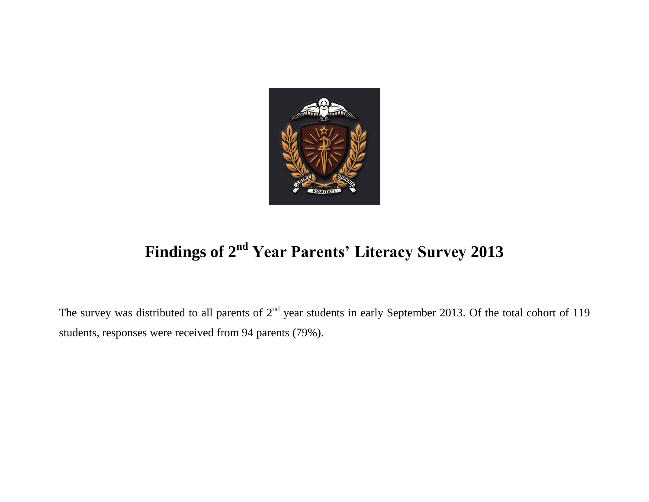

## **Findings of 2 nd Year Parents' Literacy Survey 2013**

The survey was distributed to all parents of  $2^{nd}$  year students in early September 2013. Of the total cohort of 119 students, responses were received from 94 parents (79%).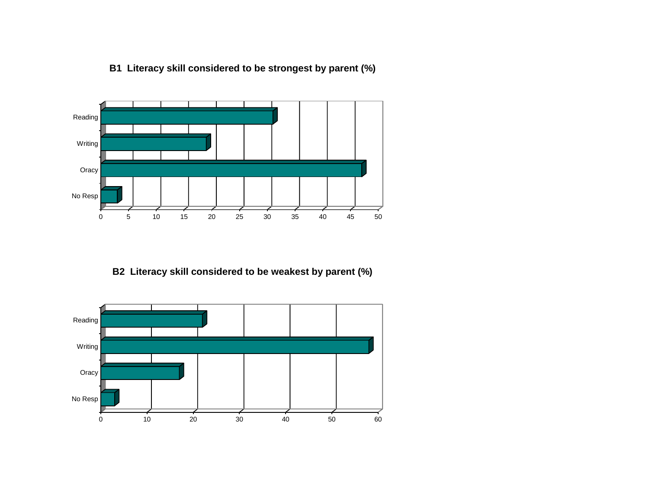

## **B1 Literacy skill considered to be strongest by parent (%)**

**B2 Literacy skill considered to be weakest by parent (%)**

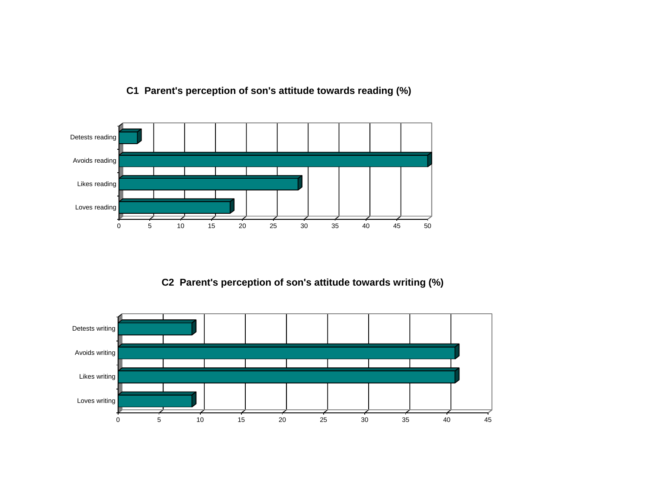

## **C1 Parent's perception of son's attitude towards reading (%)**

**C2 Parent's perception of son's attitude towards writing (%)**

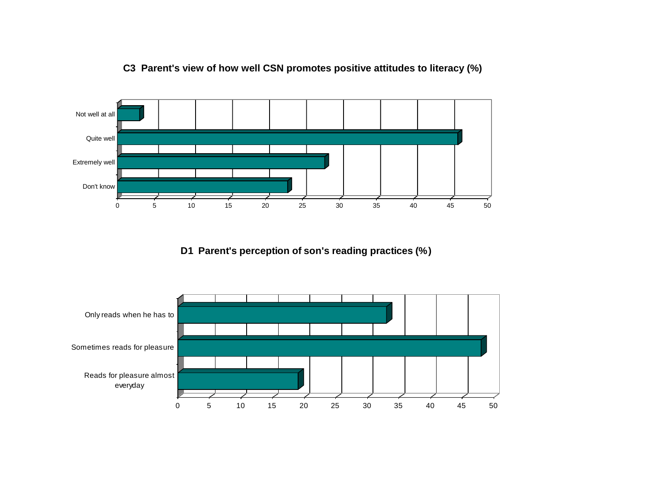

## **C3 Parent's view of how well CSN promotes positive attitudes to literacy (%)**

**D1 Parent's perception of son's reading practices (%)**

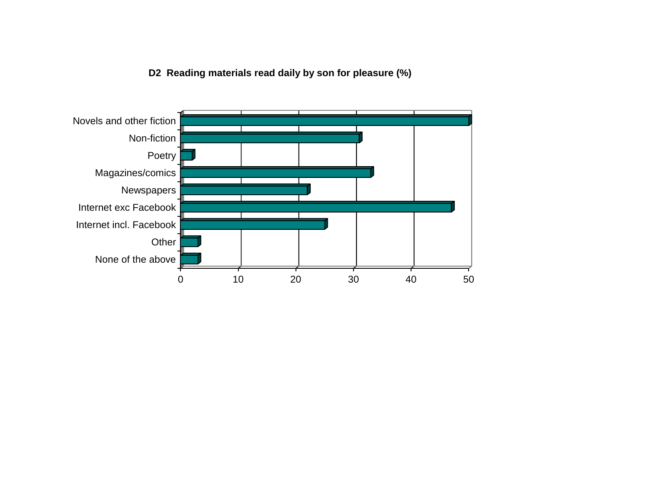**D2 Reading materials read daily by son for pleasure (%)**

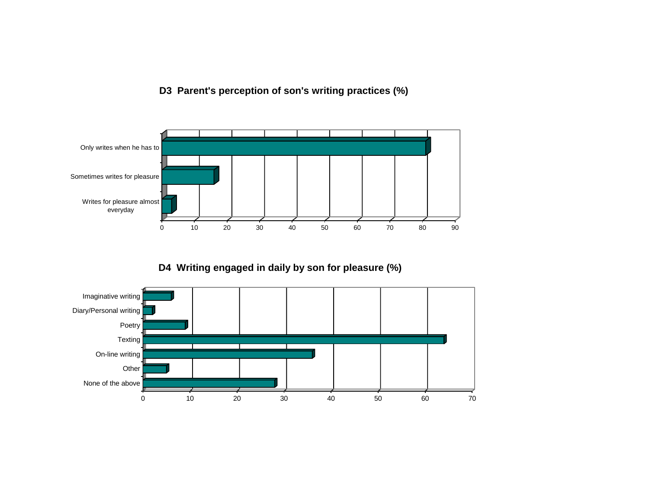**D3 Parent's perception of son's writing practices (%)**



**D4 Writing engaged in daily by son for pleasure (%)**